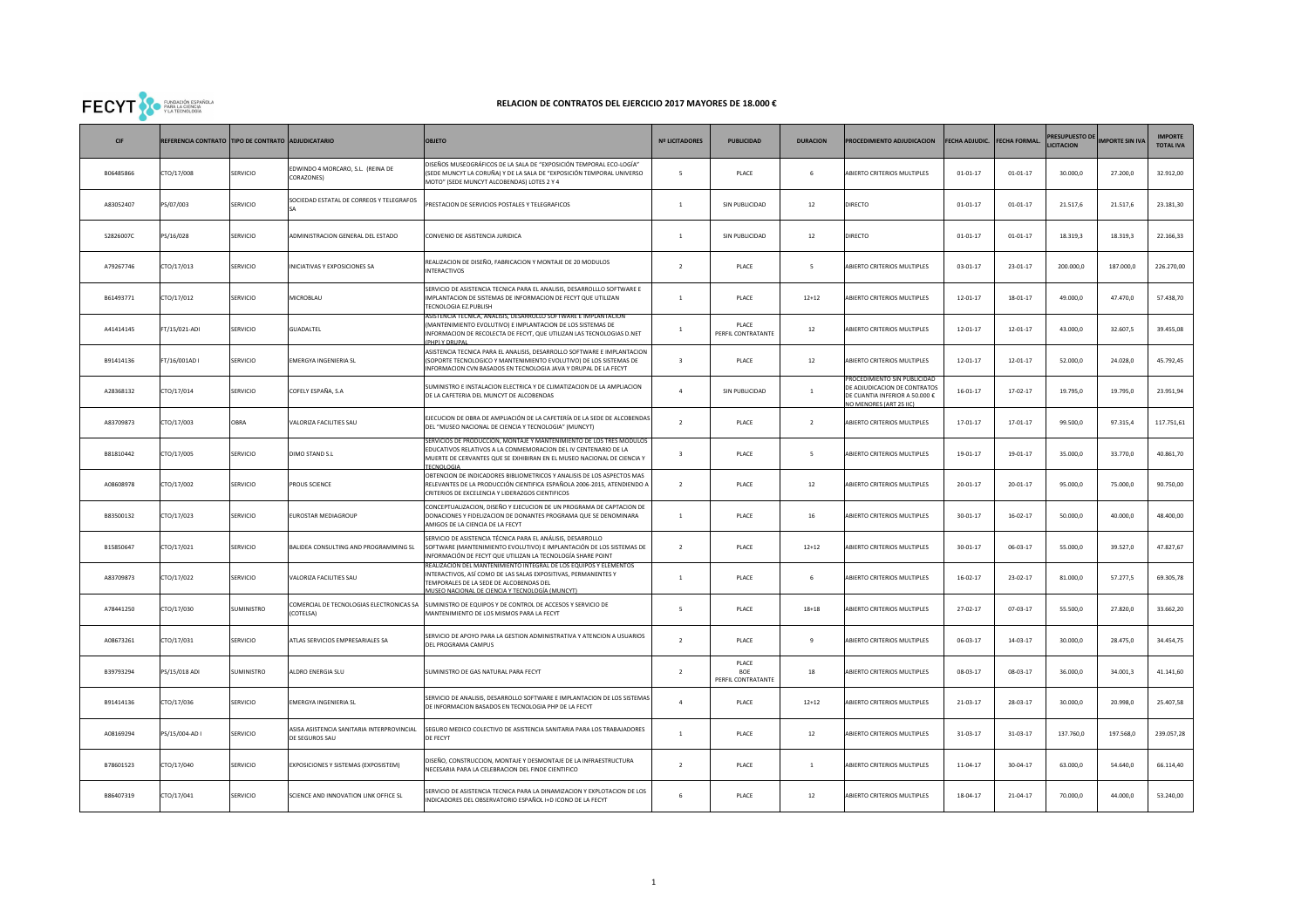## FECYT SO EUROGIÓN ESPAÑOLA

## **RELACION DE CONTRATOS DEL EJERCICIO 2017 MAYORES DE 18.000 €**

| CIF       | REFERENCIA CONTRATO TIPO DE CONTRATO ADJUDICATARIO |                 |                                                              | <b>OBJETO</b>                                                                                                                                                                                                                      | <b>Nº LICITADORES</b>   | <b>PUBLICIDAD</b>                         | <b>DURACION</b> | PROCEDIMIENTO ADJUDICACION                                                                                              |                | FECHA ADJUDIC. FECHA FORMAL | RESUPUESTO DE<br><b>ICITACION</b> | <b>IMPORTE SIN IVA</b> | <b>MPORTE</b><br><b>TOTAL IVA</b> |
|-----------|----------------------------------------------------|-----------------|--------------------------------------------------------------|------------------------------------------------------------------------------------------------------------------------------------------------------------------------------------------------------------------------------------|-------------------------|-------------------------------------------|-----------------|-------------------------------------------------------------------------------------------------------------------------|----------------|-----------------------------|-----------------------------------|------------------------|-----------------------------------|
| B06485866 | TO/17/008                                          | SERVICIO        | EDWINDO 4 MORCARO, S.L. (REINA DE<br>CORAZONES)              | DISEÑOS MUSEOGRÁFICOS DE LA SALA DE "EXPOSICIÓN TEMPORAL ECO-LOGÍA'<br>SEDE MUNCYT LA CORUÑA) Y DE LA SALA DE "EXPOSICIÓN TEMPORAL UNIVERSO<br>MOTO" (SEDE MUNCYT ALCOBENDAS) LOTES 2 Y 4                                          | 5                       | PLACE                                     | 6               | ABIERTO CRITERIOS MULTIPLES                                                                                             | $01 - 01 - 17$ | $01 - 01 - 17$              | 30.000,0                          | 27.200,0               | 32.912,00                         |
| A83052407 | S/07/003                                           | SERVICIO        | SOCIEDAD ESTATAL DE CORREOS Y TELEGRAFOS                     | PRESTACION DE SERVICIOS POSTALES Y TELEGRAFICOS                                                                                                                                                                                    | $\mathbf{1}$            | SIN PUBLICIDAD                            | 12              | DIRECTO                                                                                                                 | $01 - 01 - 17$ | $01 - 01 - 17$              | 21.517,6                          | 21.517,6               | 23.181,30                         |
| S2826007C | S/16/028                                           | SERVICIO        | ADMINISTRACION GENERAL DEL ESTADO                            | CONVENIO DE ASISTENCIA JURIDICA                                                                                                                                                                                                    | $\mathbf{1}$            | SIN PUBLICIDAD                            | 12              | <b>DIRECTO</b>                                                                                                          | $01 - 01 - 17$ | $01 - 01 - 17$              | 18.319,3                          | 18.319,3               | 22.166,33                         |
| A79267746 | TO/17/013                                          | SERVICIO        | INICIATIVAS Y EXPOSICIONES SA                                | REALIZACION DE DISEÑO, FABRICACION Y MONTAJE DE 20 MODULOS<br>INTERACTIVOS                                                                                                                                                         | $\overline{2}$          | PLACE                                     | 5               | ABIERTO CRITERIOS MULTIPLES                                                                                             | $03 - 01 - 17$ | 23-01-17                    | 200.000,0                         | 187.000,0              | 226.270,00                        |
| B61493771 | TO/17/012                                          | SERVICIO        | MICROBLAU                                                    | ERVICIO DE ASISTENCIA TECNICA PARA EL ANALISIS, DESARROLLLO SOFTWARE E<br>MPLANTACION DE SISTEMAS DE INFORMACION DE FECYT QUE UTILIZAN<br><b>TECNOLOGIA EZ.PUBLISH</b>                                                             | $\mathbf{1}$            | PLACE                                     | $12 + 12$       | ABIERTO CRITERIOS MULTIPLES                                                                                             | $12 - 01 - 17$ | $18 - 01 - 17$              | 49.000,0                          | 47.470,0               | 57.438,70                         |
| A41414145 | T/15/021-ADI                                       | SERVICIO        | GUADALTEL                                                    | ASISTENCIA TECNICA, ANALISIS, DESARROLLO SOFTWARE E IMPLANTACION<br>MANTENIMIENTO EVOLUTIVO) E IMPLANTACION DE LOS SISTEMAS DE<br>NFORMACION DE RECOLECTA DE FECYT, QUE UTILIZAN LAS TECNOLOGIAS D.NET                             | $\overline{1}$          | PLACE<br>PERFIL CONTRATANTE               | 12              | ABIERTO CRITERIOS MULTIPLES                                                                                             | $12 - 01 - 17$ | $12 - 01 - 17$              | 43.000,0                          | 32.607,5               | 39.455,08                         |
| B91414136 | T/16/001AD I                                       | SERVICIO        | <b>EMERGYA INGENIERIA SL</b>                                 | ASISTENCIA TECNICA PARA EL ANALISIS, DESARROLLO SOFTWARE E IMPLANTACION<br>SOPORTE TECNOLOGICO Y MANTENIMIENTO EVOLUTIVO) DE LOS SISTEMAS DE<br>NFORMACION CVN BASADOS EN TECNOLOGIA JAVA Y DRUPAL DE LA FECYT                     | $\overline{\mathbf{3}}$ | PLACE                                     | $12\,$          | ABIERTO CRITERIOS MULTIPLES                                                                                             | $12 - 01 - 17$ | $12 - 01 - 17$              | 52.000,0                          | 24.028,0               | 45.792,45                         |
| A28368132 | TO/17/014                                          | SERVICIO        | COFELY ESPAÑA, S.A                                           | UMINISTRO E INSTALACION ELECTRICA Y DE CLIMATIZACION DE LA AMPLIACION<br>DE LA CAFETERIA DEL MUNCYT DE ALCOBENDAS                                                                                                                  | $\mathbf{A}$            | SIN PUBLICIDAD                            | $\mathbf{1}$    | ROCEDIMIENTO SIN PUBLICIDAD<br>DE ADJUDICACION DE CONTRATOS<br>DE CUANTIA INFERIOR A 50.000 €<br>O MENORES (ART 25 IIC) | $16 - 01 - 17$ | 17-02-17                    | 19.795,0                          | 19.795,0               | 23.951,94                         |
| A83709873 | TO/17/003                                          | OBRA            | VALORIZA FACILITIES SAU                                      | EJECUCION DE OBRA DE AMPLIACIÓN DE LA CAFETERÍA DE LA SEDE DE ALCOBENDAS<br>DEL "MUSEO NACIONAL DE CIENCIA Y TECNOLOGIA" (MUNCYT)                                                                                                  | $\overline{2}$          | PLACE                                     | $\overline{2}$  | ABIERTO CRITERIOS MULTIPLES                                                                                             | $17 - 01 - 17$ | 17-01-17                    | 99.500,0                          | 97.315.4               | 117.751,61                        |
| B81810442 | TO/17/005                                          | SERVICIO        | DIMO STAND S.L                                               | ERVICIOS DE PRODUCCION, MONTAJE Y MANTENIMIENTO DE LOS TRES MOI<br>EDUCATIVOS RELATIVOS A LA CONMEMORACION DEL IV CENTENARIO DE LA<br>MUERTE DE CERVANTES QUE SE EXHIBIRAN EN EL MUSEO NACIONAL DE CIENCIA Y                       | 3                       | PLACE                                     | 5               | ABIERTO CRITERIOS MULTIPLES                                                                                             | 19-01-17       | 19-01-17                    | 35.000,0                          | 33.770,0               | 40.861,70                         |
| A08608978 | TO/17/002                                          | SERVICIO        | PROUS SCIENCE                                                | OBTENCION DE INDICADORES BIBLIOMETRICOS Y ANALISIS DE LOS ASPECTOS MAS<br>RELEVANTES DE LA PRODUCCIÓN CIENTIFICA ESPAÑOLA 2006-2015, ATENDIENDO A<br>CRITERIOS DE EXCELENCIA Y LIDERAZGOS CIENTIFICOS                              | $\overline{2}$          | PLACE                                     | 12              | ABIERTO CRITERIOS MULTIPLES                                                                                             | $20 - 01 - 17$ | $20 - 01 - 17$              | 95.000,0                          | 75.000,0               | 90.750,00                         |
| B83500132 | CTO/17/023                                         | SERVICIO        | EUROSTAR MEDIAGROUP                                          | CONCEPTUALIZACION, DISEÑO Y EJECUCION DE UN PROGRAMA DE CAPTACION DE<br>DONACIONES Y FIDELIZACION DE DONANTES PROGRAMA QUE SE DENOMINARA<br>MIGOS DE LA CIENCIA DE LA FECYT                                                        | $\mathbf{1}$            | PLACE                                     | 16              | ABIERTO CRITERIOS MULTIPLES                                                                                             | $30 - 01 - 17$ | $16 - 02 - 17$              | 50.000,0                          | 40.000,0               | 48.400,00                         |
| B15850647 | TO/17/021                                          | <b>SERVICIO</b> | BALIDEA CONSULTING AND PROGRAMMING SL                        | ERVICIO DE ASISTENCIA TÉCNICA PARA EL ANÁLISIS, DESARROLLO<br>SOFTWARE (MANTENIMIENTO EVOLUTIVO) E IMPLANTACIÓN DE LOS SISTEMAS DE<br>NFORMACIÓN DE FECYT QUE UTILIZAN LA TECNOLOGÍA SHARE POINT                                   | $\overline{2}$          | PLACE                                     | $12 + 12$       | ABIERTO CRITERIOS MULTIPLES                                                                                             | $30 - 01 - 17$ | $06 - 03 - 17$              | 55.000,0                          | 39.527,0               | 47.827,67                         |
| A83709873 | TO/17/022                                          | <b>SERVICIO</b> | VALORIZA FACILITIES SAU                                      | EALIZACION DEL MANTENIMIENTO INTEGRAL DE LOS EQUIPOS Y ELEMENTO<br>NTERACTIVOS, ASÍ COMO DE LAS SALAS EXPOSITIVAS, PERMANENTES Y<br><b>EMPORALES DE LA SEDE DE ALCOBENDAS DEL</b><br>USEO NACIONAL DE CIENCIA Y TECNOLOGÍA (MUNCYT | $\mathbf{1}$            | PLACE                                     | 6               | ABIERTO CRITERIOS MULTIPLES                                                                                             | $16 - 02 - 17$ | 23-02-17                    | 81.000,0                          | 57.277,5               | 69.305,78                         |
| A78441250 | TO/17/030                                          | SUMINISTRO      | COMERCIAL DE TECNOLOGIAS ELECTRONICAS SA<br>(COTELSA)        | SUMINISTRO DE EQUIPOS Y DE CONTROL DE ACCESOS Y SERVICIO DE<br>MANTENIMIENTO DE LOS MISMOS PARA LA FECYT                                                                                                                           | 5                       | PLACE                                     | $18 + 18$       | ABIERTO CRITERIOS MULTIPLES                                                                                             | 27-02-17       | 07-03-17                    | 55.500,0                          | 27.820,0               | 33.662,20                         |
| A08673261 | TO/17/031                                          | SERVICIO        | ATLAS SERVICIOS EMPRESARIALES SA                             | SERVICIO DE APOYO PARA LA GESTION ADMINISTRATIVA Y ATENCION A USUARIOS<br>DEL PROGRAMA CAMPUS                                                                                                                                      | $\overline{z}$          | PLACE                                     | $\mathbf{q}$    | ABIERTO CRITERIOS MULTIPLES                                                                                             | 06-03-17       | 14-03-17                    | 30.000,0                          | 28.475,0               | 34.454,75                         |
| B39793294 | PS/15/018 ADI                                      | SUMINISTRO      | ALDRO ENERGIA SLU                                            | SUMINISTRO DE GAS NATURAL PARA FECYT                                                                                                                                                                                               | $\overline{2}$          | PLACE<br><b>BOE</b><br>PERFIL CONTRATANTE | 18              | ABIERTO CRITERIOS MULTIPLES                                                                                             | $08 - 03 - 17$ | 08-03-17                    | 36.000,0                          | 34.001,3               | 41.141,60                         |
| B91414136 | CTO/17/036                                         | SERVICIO        | EMERGYA INGENIERIA SL                                        | ERVICIO DE ANALISIS, DESARROLLO SOFTWARE E IMPLANTACION DE LOS SISTEMAS<br>DE INFORMACION BASADOS EN TECNOLOGIA PHP DE LA FECYT                                                                                                    | $\mathbf{A}$            | PLACE                                     | $12 + 12$       | ABIERTO CRITERIOS MULTIPLES                                                                                             | 21-03-17       | 28-03-17                    | 30.000,0                          | 20.998,0               | 25.407,58                         |
| A08169294 | S/15/004-AD I                                      | SERVICIO        | ASISA ASISTENCIA SANITARIA INTERPROVINCIAL<br>DE SEGUROS SAU | SEGURO MEDICO COLECTIVO DE ASISTENCIA SANITARIA PARA LOS TRABAJADORES<br>DE FECYT                                                                                                                                                  | $1\,$                   | PLACE                                     | 12              | ABIERTO CRITERIOS MULTIPLES                                                                                             | 31-03-17       | 31-03-17                    | 137.760,0                         | 197.568,0              | 239.057,28                        |
| B78601523 | TO/17/040                                          | SERVICIO        | EXPOSICIONES Y SISTEMAS (EXPOSISTEM)                         | DISEÑO, CONSTRUCCION, MONTAJE Y DESMONTAJE DE LA INFRAESTRUCTURA<br>NECESARIA PARA LA CELEBRACION DEL FINDE CIENTIFICO                                                                                                             | $\overline{2}$          | PLACE                                     | $\mathbf{1}$    | ABIERTO CRITERIOS MULTIPLES                                                                                             | 11-04-17       | 30-04-17                    | 63,000.0                          | 54.640,0               | 66.114,40                         |
| B86407319 | TO/17/041                                          | SERVICIO        | SCIENCE AND INNOVATION LINK OFFICE SL                        | ERVICIO DE ASISTENCIA TECNICA PARA LA DINAMIZACION Y EXPLOTACION DE LOS<br>NDICADORES DEL OBSERVATORIO ESPAÑOL I+D ICONO DE LA FECYT                                                                                               | 6                       | PLACE                                     | 12              | ABIERTO CRITERIOS MULTIPLES                                                                                             | 18-04-17       | 21-04-17                    | 70.000,0                          | 44.000,0               | 53.240,00                         |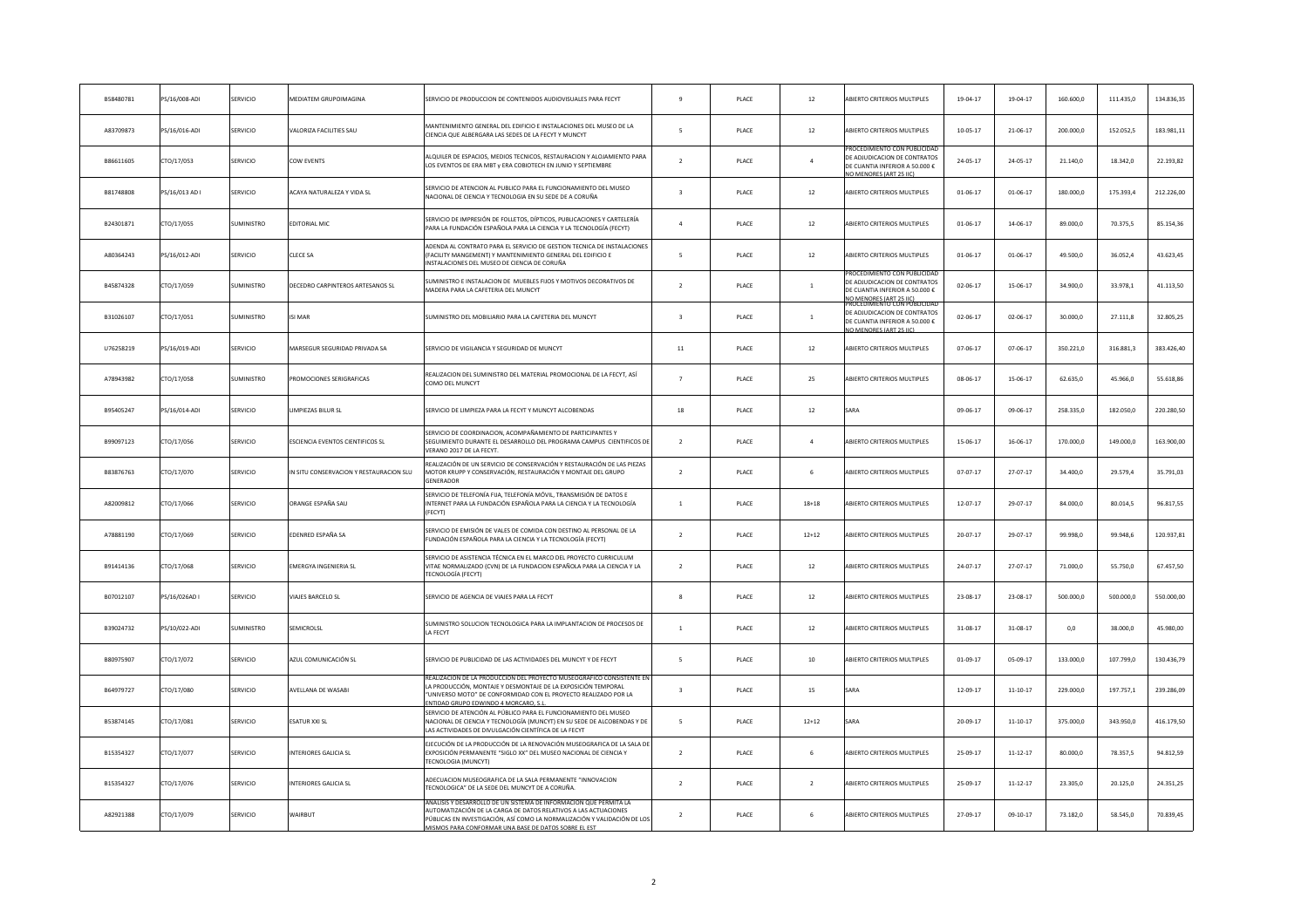| B58480781 | PS/16/008-ADI  | SERVICIO          | MEDIATEM GRUPOIMAGINA                   | SERVICIO DE PRODUCCION DE CONTENIDOS AUDIOVISUALES PARA FECYT                                                                                                                                                                                                          | $\overline{9}$          | PLACE        | $12\,$         | <b>ABIERTO CRITERIOS MULTIPLES</b>                                                                                                                                  | 19-04-17       | 19-04-17       | 160,600.0 | 111.435,0 | 134.836,35 |
|-----------|----------------|-------------------|-----------------------------------------|------------------------------------------------------------------------------------------------------------------------------------------------------------------------------------------------------------------------------------------------------------------------|-------------------------|--------------|----------------|---------------------------------------------------------------------------------------------------------------------------------------------------------------------|----------------|----------------|-----------|-----------|------------|
| A83709873 | PS/16/016-ADI  | ERVICIO           | VALORIZA FACILITIES SAU                 | MANTENIMIENTO GENERAL DEL EDIFICIO E INSTALACIONES DEL MUSEO DE LA<br>CIENCIA QUE ALBERGARA LAS SEDES DE LA FECYT Y MUNCYT                                                                                                                                             | 5                       | PLACE        | $12\,$         | <b>ABIERTO CRITERIOS MULTIPLES</b>                                                                                                                                  | $10 - 05 - 17$ | 21-06-17       | 200.000,0 | 152.052,5 | 183.981,11 |
| B86611605 | CTO/17/053     | SERVICIO          | <b>COW EVENTS</b>                       | LQUILER DE ESPACIOS, MEDIOS TECNICOS, RESTAURACION Y ALOJAMIENTO PARA<br>LOS EVENTOS DE ERA MBT y ERA COBIOTECH EN JUNIO Y SEPTIEMBRE                                                                                                                                  | $\overline{z}$          | <b>PLACE</b> | $\mathbf{A}$   | ROCEDIMIENTO CON PUBLICIDAD<br>DE ADJUDICACION DE CONTRATOS<br>DE CUANTIA INFERIOR A 50.000 €<br>MENORES (ART 25 HC                                                 | 24-05-17       | 24-05-17       | 21.140.0  | 18.342,0  | 22.193,82  |
| B81748808 | PS/16/013 AD I | SERVICIO          | ACAYA NATURALEZA Y VIDA SL              | ERVICIO DE ATENCION AL PUBLICO PARA EL FUNCIONAMIENTO DEL MUSEO<br>NACIONAL DE CIENCIA Y TECNOLOGIA EN SU SEDE DE A CORUÑA                                                                                                                                             | $\overline{\mathbf{3}}$ | PLACE        | $12\,$         | BIERTO CRITERIOS MULTIPLES                                                                                                                                          | $01 - 06 - 17$ | $01 - 06 - 17$ | 180.000,0 | 175.393,4 | 212.226,00 |
| B24301871 | CTO/17/055     | <b>SUMINISTRO</b> | EDITORIAL MIC                           | SERVICIO DE IMPRESIÓN DE FOLLETOS, DÍPTICOS, PUBLICACIONES Y CARTELERÍA<br>PARA LA FUNDACIÓN ESPAÑOLA PARA LA CIENCIA Y LA TECNOLOGÍA (FECYT)                                                                                                                          | $\overline{4}$          | PLACE        | 12             | ABIERTO CRITERIOS MULTIPLES                                                                                                                                         | 01-06-17       | 14-06-17       | 89.000,0  | 70.375,5  | 85.154,36  |
| A80364243 | S/16/012-ADI   | ERVICIO           | <b>CLECE SA</b>                         | OENDA AL CONTRATO PARA EL SERVICIO DE GESTION TECNICA DE INSTALACIONES<br>FACILITY MANGEMENT) Y MANTENIMIENTO GENERAL DEL EDIFICIO E<br>NSTALACIONES DEL MUSEO DE CIENCIA DE CORUÑA                                                                                    | 5                       | PLACE        | $12\,$         | <b>ABIERTO CRITERIOS MULTIPLES</b>                                                                                                                                  | 01-06-17       | $01 - 06 - 17$ | 49.500,0  | 36.052,4  | 43.623,45  |
| B45874328 | CTO/17/059     | <b>SUMINISTRO</b> | DECEDRO CARPINTEROS ARTESANOS SL        | UMINISTRO E INSTALACION DE MUEBLES FIJOS Y MOTIVOS DECORATIVOS DE<br>MADERA PARA LA CAFETERIA DEL MUNCYT                                                                                                                                                               | $\overline{2}$          | PLACE        | $\mathbf{1}$   | ROCEDIMIENTO CO<br>DE ADJUDICACION DE CONTRATOS<br>E CUANTIA INFERIOR A 50.000 €                                                                                    | 02-06-17       | 15-06-17       | 34,900.0  | 33.978,1  | 41.113,50  |
| B31026107 | CTO/17/051     | SUMINISTRO        | <b>ISI MAR</b>                          | SUMINISTRO DEL MOBILIARIO PARA LA CAFETERIA DEL MUNCYT                                                                                                                                                                                                                 | $\overline{\mathbf{3}}$ | PLACE        | $\,$ 1 $\,$    | <b>DIMENORES (ART 25 IIC)</b><br><b>(OCEDIMIENTO CON PUBLICIDA</b><br>DE ADJUDICACION DE CONTRATOS<br>DE CUANTIA INFERIOR A 50.000 €<br><b>MENORES (ART 25 IIC)</b> | 02-06-17       | $02 - 06 - 17$ | 30.000,0  | 27.111,8  | 32.805,25  |
| U76258219 | PS/16/019-ADI  | SERVICIO          | MARSEGUR SEGURIDAD PRIVADA SA           | SERVICIO DE VIGILANCIA Y SEGURIDAD DE MUNCYT                                                                                                                                                                                                                           | $11\,$                  | PLACE        | $12\,$         | <b>ABIERTO CRITERIOS MULTIPLES</b>                                                                                                                                  | 07-06-17       | $07 - 06 - 17$ | 350.221,0 | 316.881,3 | 383.426,40 |
| A78943982 | CTO/17/058     | <b>SUMINISTRO</b> | PROMOCIONES SERIGRAFICAS                | REALIZACION DEL SUMINISTRO DEL MATERIAL PROMOCIONAL DE LA FECYT, ASÍ<br>COMO DEL MUNCYT                                                                                                                                                                                | $\overline{7}$          | PLACE        | 25             | ABIERTO CRITERIOS MULTIPLES                                                                                                                                         | 08-06-17       | 15-06-17       | 62.635,0  | 45.966,0  | 55.618,86  |
| B95405247 | PS/16/014-ADI  | <b>SERVICIO</b>   | IMPIEZAS BILUR SL                       | SERVICIO DE LIMPIEZA PARA LA FECYT Y MUNCYT ALCOBENDAS                                                                                                                                                                                                                 | 18                      | PLACE        | $12\,$         | SARA                                                                                                                                                                | 09-06-17       | 09-06-17       | 258.335,0 | 182.050,0 | 220.280,50 |
| B99097123 | CTO/17/056     | SERVICIO          | ESCIENCIA EVENTOS CIENTIFICOS SL        | SERVICIO DE COORDINACION, ACOMPAÑAMIENTO DE PARTICIPANTES Y<br>SEGUIMIENTO DURANTE EL DESARROLLO DEL PROGRAMA CAMPUS CIENTIFICOS DE<br>VERANO 2017 DE LA FECYT                                                                                                         | $\overline{2}$          | PLACE        | $\overline{4}$ | <b>ABIERTO CRITERIOS MULTIPLES</b>                                                                                                                                  | 15-06-17       | $16 - 06 - 17$ | 170.000,0 | 149.000,0 | 163.900,00 |
| B83876763 | CTO/17/070     | SERVICIO          | IN SITU CONSERVACION Y RESTAURACION SLU | REALIZACIÓN DE UN SERVICIO DE CONSERVACIÓN Y RESTAURACIÓN DE LAS PIEZAS<br>MOTOR KRUPP Y CONSERVACIÓN, RESTAURACIÓN Y MONTAJE DEL GRUPO<br>GENERADOR                                                                                                                   | $\overline{2}$          | PLACE        | 6              | ABIERTO CRITERIOS MULTIPLES                                                                                                                                         | $07 - 07 - 17$ | 27-07-17       | 34.400,0  | 29.579.4  | 35.791,03  |
| A82009812 | CTO/17/066     | SERVICIO          | ORANGE ESPAÑA SAU                       | ERVICIO DE TELEFONÍA FIJA, TELEFONÍA MÓVIL, TRANSMISIÓN DE DATOS E<br>INTERNET PARA LA FUNDACIÓN ESPAÑOLA PARA LA CIENCIA Y LA TECNOLOGÍA<br>(FECYT)                                                                                                                   | $\overline{1}$          | PLACE        | $18 + 18$      | ABIERTO CRITERIOS MULTIPLES                                                                                                                                         | 12-07-17       | 29-07-17       | 84.000,0  | 80.014,5  | 96.817,55  |
| A78881190 | TO/17/069      | SERVICIO          | EDENRED ESPAÑA SA                       | ERVICIO DE EMISIÓN DE VALES DE COMIDA CON DESTINO AL PERSONAL DE LA<br>FUNDACIÓN ESPAÑOLA PARA LA CIENCIA Y LA TECNOLOGÍA (FECYT)                                                                                                                                      | $\overline{2}$          | PLACE        | $12 + 12$      | ABIERTO CRITERIOS MULTIPLES                                                                                                                                         | 20-07-17       | 29-07-17       | 99.998,0  | 99.948,6  | 120.937,81 |
| B91414136 | CTO/17/068     | <b>SERVICIO</b>   | EMERGYA INGENIERIA SL                   | ERVICIO DE ASISTENCIA TÉCNICA EN EL MARCO DEL PROYECTO CURRICULUM<br>VITAE NORMALIZADO (CVN) DE LA FUNDACION ESPAÑOLA PARA LA CIENCIA Y LA<br>TECNOLOGÍA (FECYT)                                                                                                       | $\overline{2}$          | PLACE        | 12             | ABIERTO CRITERIOS MULTIPLES                                                                                                                                         | 24-07-17       | 27-07-17       | 71.000,0  | 55.750,0  | 67.457,50  |
| B07012107 | PS/16/026AD I  | SERVICIO          | VIAJES BARCELO SL                       | SERVICIO DE AGENCIA DE VIAJES PARA LA FECYT                                                                                                                                                                                                                            | 8                       | PLACE        | $12\,$         | ABIERTO CRITERIOS MULTIPLES                                                                                                                                         | 23-08-17       | 23-08-17       | 500.000,0 | 500.000,0 | 550.000,00 |
| B39024732 | PS/10/022-ADI  | SUMINISTRO        | SEMICROLSL                              | SUMINISTRO SOLUCION TECNOLOGICA PARA LA IMPLANTACION DE PROCESOS DE<br>LA FECYT                                                                                                                                                                                        | $\,$ 1 $\,$             | PLACE        | $12\,$         | ABIERTO CRITERIOS MULTIPLES                                                                                                                                         | 31-08-17       | 31-08-17       | 0,0       | 38.000,0  | 45.980,00  |
| B80975907 | CTO/17/072     | SERVICIO          | AZUL COMUNICACIÓN SL                    | SERVICIO DE PUBLICIDAD DE LAS ACTIVIDADES DEL MUNCYT Y DE FECYT                                                                                                                                                                                                        | 5                       | PLACE        | 10             | ABIERTO CRITERIOS MULTIPLES                                                                                                                                         | $01 - 09 - 17$ | $05 - 09 - 17$ | 133.000,0 | 107.799,0 | 130.436,79 |
| B64979727 | CTO/17/080     | SERVICIO          | AVELLANA DE WASABI                      | ACION DE LA PRODUCCION DEL PROYECTO MUSEOGRAFICO CONSISTI<br>LA PRODUCCIÓN, MONTAJE Y DESMONTAJE DE LA EXPOSICIÓN TEMPORAL<br>'UNIVERSO MOTO" DE CONFORMIDAD CON EL PROYECTO REALIZADO POR LA<br>NTIDAD GRUPO EDWINDO 4 MORCARO. S                                     | $\overline{\mathbf{3}}$ | PLACE        | 15             | <b>ARA</b>                                                                                                                                                          | 12-09-17       | $11 - 10 - 17$ | 229.000,0 | 197.757,1 | 239.286,09 |
| B53874145 | CTO/17/081     | SERVICIO          | <b>ESATUR XXI SL</b>                    | SERVICIO DE ATENCIÓN AL PÚBLICO PARA EL FUNCIONAMIENTO DEL MUSEO<br>NACIONAL DE CIENCIA Y TECNOLOGÍA (MUNCYT) EN SU SEDE DE ALCOBENDAS Y DE<br>LAS ACTIVIDADES DE DIVULGACIÓN CIENTÍFICA DE LA FECYT                                                                   | 5                       | PLACE        | $12 + 12$      | <b>SARA</b>                                                                                                                                                         | 20-09-17       | $11 - 10 - 17$ | 375.000,0 | 343.950,0 | 416.179,50 |
| B15354327 | CTO/17/077     | SERVICIO          | INTERIORES GALICIA SL                   | EJECUCIÓN DE LA PRODUCCIÓN DE LA RENOVACIÓN MUSEOGRAFICA DE LA SALA DE<br>EXPOSICIÓN PERMANENTE "SIGLO XX" DEL MUSEO NACIONAL DE CIENCIA Y<br><b>FECNOLOGIA (MUNCYT)</b>                                                                                               | $\overline{2}$          | PLACE        | $\,$ 6         | ABIERTO CRITERIOS MULTIPLES                                                                                                                                         | 25-09-17       | $11 - 12 - 17$ | 80.000,0  | 78.357,5  | 94.812,59  |
| B15354327 | CTO/17/076     | SERVICIO          | <b>INTERIORES GALICIA SL</b>            | ADECUACION MUSEOGRAFICA DE LA SALA PERMANENTE "INNOVACION<br>TECNOLOGICA" DE LA SEDE DEL MUNCYT DE A CORUÑA.                                                                                                                                                           | $\overline{2}$          | PLACE        | $\overline{2}$ | ABIERTO CRITERIOS MULTIPLES                                                                                                                                         | 25-09-17       | $11 - 12 - 17$ | 23,305.0  | 20.125.0  | 24.351,25  |
| A82921388 | TO/17/079      | ERVICIO           | WAIRBUT                                 | NALISIS Y DESARROLLO DE UN SISTEMA DE INFORMACIÓN QUE PERMITA LA<br>IUTOMATIZACIÓN DE LA CARGA DE DATOS RELATIVOS A LAS ACTUACIONES<br>PÚBLICAS EN INVESTIGACIÓN, ASÍ COMO LA NORMALIZACIÓN Y VALIDACIÓN DE LOS<br>ISMOS PARA CONFORMAR UNA BASE DE DATOS SOBRE EL EST | $\overline{2}$          | PLACE        | 6              | ABIERTO CRITERIOS MULTIPLES                                                                                                                                         | 27-09-17       | 09-10-17       | 73.182,0  | 58.545,0  | 70.839,45  |